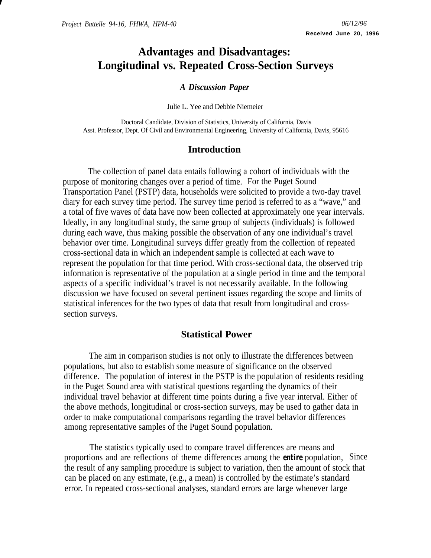# **Advantages and Disadvantages: Longitudinal vs. Repeated Cross-Section Surveys**

### *A Discussion Paper*

Julie L. Yee and Debbie Niemeier

 Doctoral Candidate, Division of Statistics, University of California, Davis Asst. Professor, Dept. Of Civil and Environmental Engineering, University of California, Davis, 95616

## **Introduction**

The collection of panel data entails following a cohort of individuals with the purpose of monitoring changes over a period of time. For the Puget Sound Transportation Panel (PSTP) data, households were solicited to provide a two-day travel diary for each survey time period. The survey time period is referred to as a "wave," and a total of five waves of data have now been collected at approximately one year intervals. Ideally, in any longitudinal study, the same group of subjects (individuals) is followed during each wave, thus making possible the observation of any one individual's travel behavior over time. Longitudinal surveys differ greatly from the collection of repeated cross-sectional data in which an independent sample is collected at each wave to represent the population for that time period. With cross-sectional data, the observed trip information is representative of the population at a single period in time and the temporal aspects of a specific individual's travel is not necessarily available. In the following discussion we have focused on several pertinent issues regarding the scope and limits of statistical inferences for the two types of data that result from longitudinal and crosssection surveys.

## **Statistical Power**

The aim in comparison studies is not only to illustrate the differences between populations, but also to establish some measure of significance on the observed difference. The population of interest in the PSTP is the population of residents residing in the Puget Sound area with statistical questions regarding the dynamics of their individual travel behavior at different time points during a five year interval. Either of the above methods, longitudinal or cross-section surveys, may be used to gather data in order to make computational comparisons regarding the travel behavior differences among representative samples of the Puget Sound population.

The statistics typically used to compare travel differences are means and proportions and are reflections of theme differences among the *entire* population, Since the result of any sampling procedure is subject to variation, then the amount of stock that can be placed on any estimate, (e.g., a mean) is controlled by the estimate's standard error. In repeated cross-sectional analyses, standard errors are large whenever large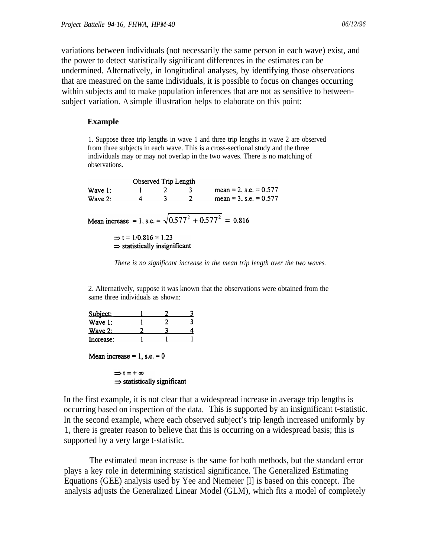variations between individuals (not necessarily the same person in each wave) exist, and the power to detect statistically significant differences in the estimates can be undermined. Alternatively, in longitudinal analyses, by identifying those observations that are measured on the same individuals, it is possible to focus on changes occurring within subjects and to make population inferences that are not as sensitive to betweensubject variation. A simple illustration helps to elaborate on this point:

#### **Example**

1. Suppose three trip lengths in wave 1 and three trip lengths in wave 2 are observed from three subjects in each wave. This is a cross-sectional study and the three individuals may or may not overlap in the two waves. There is no matching of observations.

Observed Trip Length 1 2 3 mean = 2, s.e. = 0.577<br>4 3 2 mean = 3, s.e. = 0.577 Wave 1: Wave 2: Mean increase = 1, s.e. =  $\sqrt{0.577^2 + 0.577^2}$  = 0.816  $\Rightarrow$  t = 1/0.816 = 1.23  $\Rightarrow$  statistically insignificant

*There is no significant increase in the mean trip length over the two waves.*

2. Alternatively, suppose it was known that the observations were obtained from the same three individuals as shown:

| Subject:  |  |  |
|-----------|--|--|
| Wave 1:   |  |  |
| Wave $2:$ |  |  |
| Increase: |  |  |

Mean increase =  $1$ , s.e. = 0

 $\Rightarrow t = +\infty$  $\Rightarrow$  statistically significant

In the first example, it is not clear that a widespread increase in average trip lengths is occurring based on inspection of the data. This is supported by an insignificant t-statistic. In the second example, where each observed subject's trip length increased uniformly by 1, there is greater reason to believe that this is occurring on a widespread basis; this is supported by a very large t-statistic.

The estimated mean increase is the same for both methods, but the standard error plays a key role in determining statistical significance. The Generalized Estimating Equations (GEE) analysis used by Yee and Niemeier [l] is based on this concept. The analysis adjusts the Generalized Linear Model (GLM), which fits a model of completely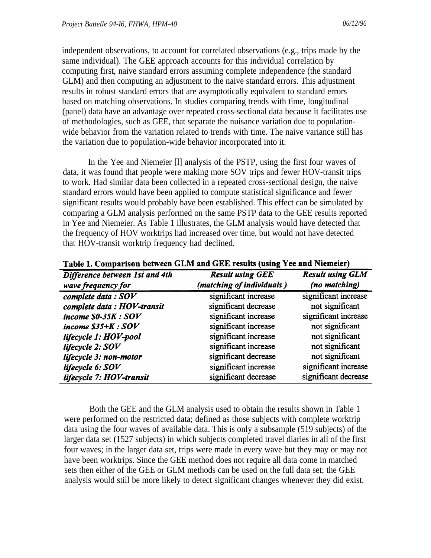independent observations, to account for correlated observations (e.g., trips made by the same individual). The GEE approach accounts for this individual correlation by computing first, naive standard errors assuming complete independence (the standard GLM) and then computing an adjustment to the naive standard errors. This adjustment results in robust standard errors that are asymptotically equivalent to standard errors based on matching observations. In studies comparing trends with time, longitudinal (panel) data have an advantage over repeated cross-sectional data because it facilitates use of methodologies, such as GEE, that separate the nuisance variation due to populationwide behavior from the variation related to trends with time. The naive variance still has the variation due to population-wide behavior incorporated into it.

In the Yee and Niemeier [l] analysis of the PSTP, using the first four waves of data, it was found that people were making more SOV trips and fewer HOV-transit trips to work. Had similar data been collected in a repeated cross-sectional design, the naive standard errors would have been applied to compute statistical significance and fewer significant results would probably have been established. This effect can be simulated by comparing a GLM analysis performed on the same PSTP data to the GEE results reported in Yee and Niemeier. As Table 1 illustrates, the GLM analysis would have detected that the frequency of HOV worktrips had increased over time, but would not have detected that HOV-transit worktrip frequency had declined.

| Difference between 1st and 4th | <b>Result using GEE</b>   | <b>Result using GLM</b> |  |
|--------------------------------|---------------------------|-------------------------|--|
| wave frequency for             | (matching of individuals) | (no matching)           |  |
| complete data: SOV             | significant increase      | significant increase    |  |
| complete data : HOV-transit    | significant decrease      | not significant         |  |
| income $$0-35K:SOV$            | significant increase      | significant increase    |  |
| income $$35+K:SOV$             | significant increase      | not significant         |  |
| lifecycle 1: HOV-pool          | significant increase      | not significant         |  |
| lifecycle 2: SOV               | significant increase      | not significant         |  |
| lifecycle 3: non-motor         | significant decrease      | not significant         |  |
| lifecycle 6: SOV               | significant increase      | significant increase    |  |
| lifecycle 7: HOV-transit       | significant decrease      | significant decrease    |  |

Table 1. Comparison between GLM and GEE results (using Yee and Niemeier)

Both the GEE and the GLM analysis used to obtain the results shown in Table 1 were performed on the restricted data; defined as those subjects with complete worktrip data using the four waves of available data. This is only a subsample (519 subjects) of the larger data set (1527 subjects) in which subjects completed travel diaries in all of the first four waves; in the larger data set, trips were made in every wave but they may or may not have been worktrips. Since the GEE method does not require all data come in matched sets then either of the GEE or GLM methods can be used on the full data set; the GEE analysis would still be more likely to detect significant changes whenever they did exist.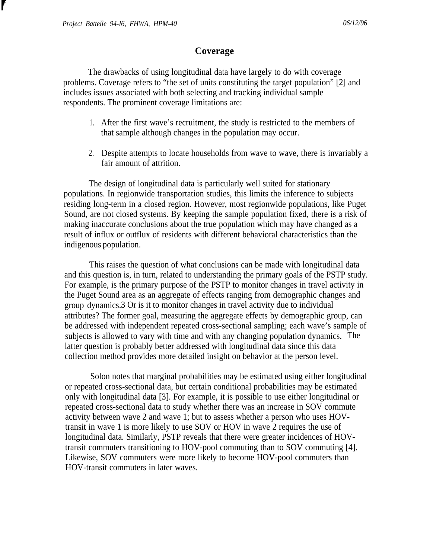### **Coverage**

The drawbacks of using longitudinal data have largely to do with coverage problems. Coverage refers to "the set of units constituting the target population" [2] and includes issues associated with both selecting and tracking individual sample respondents. The prominent coverage limitations are:

- 1. After the first wave's recruitment, the study is restricted to the members of that sample although changes in the population may occur.
- 2. Despite attempts to locate households from wave to wave, there is invariably a fair amount of attrition.

The design of longitudinal data is particularly well suited for stationary populations. In regionwide transportation studies, this limits the inference to subjects residing long-term in a closed region. However, most regionwide populations, like Puget Sound, are not closed systems. By keeping the sample population fixed, there is a risk of making inaccurate conclusions about the true population which may have changed as a result of influx or outflux of residents with different behavioral characteristics than the indigenous population.

This raises the question of what conclusions can be made with longitudinal data and this question is, in turn, related to understanding the primary goals of the PSTP study. For example, is the primary purpose of the PSTP to monitor changes in travel activity in the Puget Sound area as an aggregate of effects ranging from demographic changes and group dynamics. 3 Or is it to monitor changes in travel activity due to individual attributes? The former goal, measuring the aggregate effects by demographic group, can be addressed with independent repeated cross-sectional sampling; each wave's sample of subjects is allowed to vary with time and with any changing population dynamics. The latter question is probably better addressed with longitudinal data since this data collection method provides more detailed insight on behavior at the person level.

Solon notes that marginal probabilities may be estimated using either longitudinal or repeated cross-sectional data, but certain conditional probabilities may be estimated only with longitudinal data [3]. For example, it is possible to use either longitudinal or repeated cross-sectional data to study whether there was an increase in SOV commute activity between wave 2 and wave 1; but to assess whether a person who uses HOVtransit in wave 1 is more likely to use SOV or HOV in wave 2 requires the use of longitudinal data. Similarly, PSTP reveals that there were greater incidences of HOVtransit commuters transitioning to HOV-pool commuting than to SOV commuting [4]. Likewise, SOV commuters were more likely to become HOV-pool commuters than HOV-transit commuters in later waves.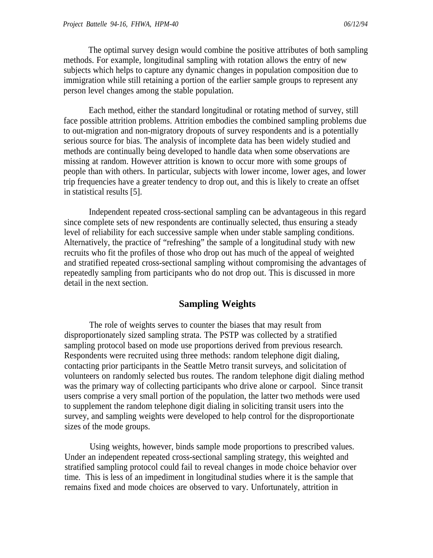The optimal survey design would combine the positive attributes of both sampling methods. For example, longitudinal sampling with rotation allows the entry of new subjects which helps to capture any dynamic changes in population composition due to immigration while still retaining a portion of the earlier sample groups to represent any person level changes among the stable population.

Each method, either the standard longitudinal or rotating method of survey, still face possible attrition problems. Attrition embodies the combined sampling problems due to out-migration and non-migratory dropouts of survey respondents and is a potentially serious source for bias. The analysis of incomplete data has been widely studied and methods are continually being developed to handle data when some observations are missing at random. However attrition is known to occur more with some groups of people than with others. In particular, subjects with lower income, lower ages, and lower trip frequencies have a greater tendency to drop out, and this is likely to create an offset in statistical results [5].

Independent repeated cross-sectional sampling can be advantageous in this regard since complete sets of new respondents are continually selected, thus ensuring a steady level of reliability for each successive sample when under stable sampling conditions. Alternatively, the practice of "refreshing" the sample of a longitudinal study with new recruits who fit the profiles of those who drop out has much of the appeal of weighted and stratified repeated cross-sectional sampling without compromising the advantages of repeatedly sampling from participants who do not drop out. This is discussed in more detail in the next section.

### **Sampling Weights**

The role of weights serves to counter the biases that may result from disproportionately sized sampling strata. The PSTP was collected by a stratified sampling protocol based on mode use proportions derived from previous research. Respondents were recruited using three methods: random telephone digit dialing, contacting prior participants in the Seattle Metro transit surveys, and solicitation of volunteers on randomly selected bus routes. The random telephone digit dialing method was the primary way of collecting participants who drive alone or carpool. Since transit users comprise a very small portion of the population, the latter two methods were used to supplement the random telephone digit dialing in soliciting transit users into the survey, and sampling weights were developed to help control for the disproportionate sizes of the mode groups.

Using weights, however, binds sample mode proportions to prescribed values. Under an independent repeated cross-sectional sampling strategy, this weighted and stratified sampling protocol could fail to reveal changes in mode choice behavior over time. This is less of an impediment in longitudinal studies where it is the sample that remains fixed and mode choices are observed to vary. Unfortunately, attrition in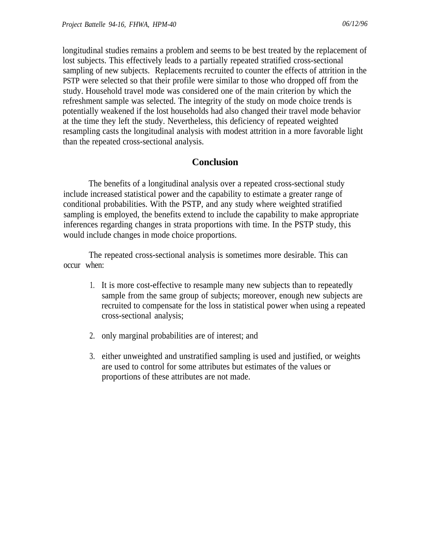longitudinal studies remains a problem and seems to be best treated by the replacement of lost subjects. This effectively leads to a partially repeated stratified cross-sectional sampling of new subjects. Replacements recruited to counter the effects of attrition in the PSTP were selected so that their profile were similar to those who dropped off from the study. Household travel mode was considered one of the main criterion by which the refreshment sample was selected. The integrity of the study on mode choice trends is potentially weakened if the lost households had also changed their travel mode behavior at the time they left the study. Nevertheless, this deficiency of repeated weighted resampling casts the longitudinal analysis with modest attrition in a more favorable light than the repeated cross-sectional analysis.

# **Conclusion**

The benefits of a longitudinal analysis over a repeated cross-sectional study include increased statistical power and the capability to estimate a greater range of conditional probabilities. With the PSTP, and any study where weighted stratified sampling is employed, the benefits extend to include the capability to make appropriate inferences regarding changes in strata proportions with time. In the PSTP study, this would include changes in mode choice proportions.

The repeated cross-sectional analysis is sometimes more desirable. This can occur when:

- 1. It is more cost-effective to resample many new subjects than to repeatedly sample from the same group of subjects; moreover, enough new subjects are recruited to compensate for the loss in statistical power when using a repeated cross-sectional analysis;
- 2. only marginal probabilities are of interest; and
- 3. either unweighted and unstratified sampling is used and justified, or weights are used to control for some attributes but estimates of the values or proportions of these attributes are not made.